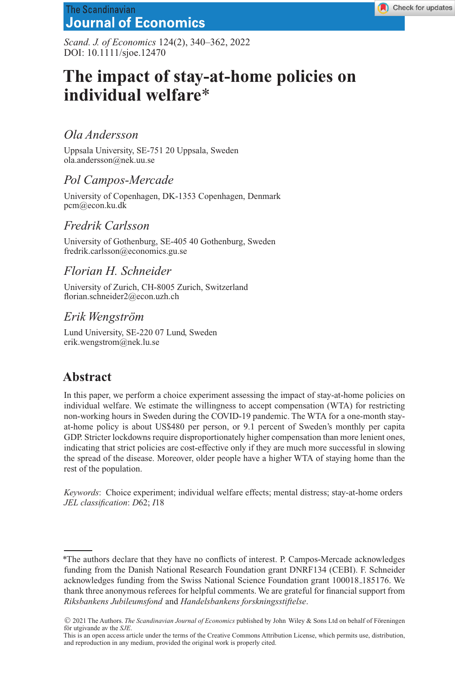## **The Scandinavian Journal of Economics**

*Scand. J. of Economics* 124(2), 340–362, 2022 DOI: 10.1111/sjoe.12470

# **The impact of stay-at-home policies on individual welfare**\*

## *Ola Andersson*

Uppsala University, SE-751 20 Uppsala, Sweden ola.andersson@nek.uu.se

## *Pol Campos-Mercade*

University of Copenhagen, DK-1353 Copenhagen, Denmark pcm@econ.ku.dk

## *Fredrik Carlsson*

University of Gothenburg, SE-405 40 Gothenburg, Sweden fredrik.carlsson@economics.gu.se

### *Florian H. Schneider*

University of Zurich, CH-8005 Zurich, Switzerland florian.schneider2@econ.uzh.ch

### *Erik Wengstr ¨om*

Lund University, SE-220 07 Lund, Sweden erik.wengstrom@nek.lu.se

## **Abstract**

In this paper, we perform a choice experiment assessing the impact of stay-at-home policies on individual welfare. We estimate the willingness to accept compensation (WTA) for restricting non-working hours in Sweden during the COVID-19 pandemic. The WTA for a one-month stayat-home policy is about US\$480 per person, or 9.1 percent of Sweden's monthly per capita GDP. Stricter lockdowns require disproportionately higher compensation than more lenient ones, indicating that strict policies are cost-effective only if they are much more successful in slowing the spread of the disease. Moreover, older people have a higher WTA of staying home than the rest of the population.

*Keywords*: Choice experiment; individual welfare effects; mental distress; stay-at-home orders *JEL classification*: *D*62; *I*18

<sup>\*</sup>The authors declare that they have no conflicts of interest. P. Campos-Mercade acknowledges funding from the Danish National Research Foundation grant DNRF134 (CEBI). F. Schneider acknowledges funding from the Swiss National Science Foundation grant 100018 185176. We thank three anonymous referees for helpful comments. We are grateful for financial support from *Riksbankens Jubileumsfond* and *Handelsbankens forskningsstiftelse*.

<sup>© 2021</sup> The Authors. *The Scandinavian Journal of Economics* published by John Wiley & Sons Ltd on behalf of Föreningen för utgivande av the SJE.

This is an open access article under the terms of the Creative Commons Attribution License, which permits use, distribution, and reproduction in any medium, provided the original work is properly cited.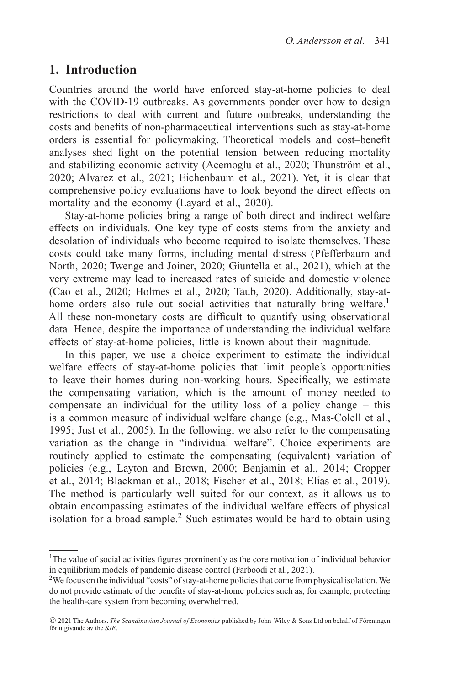### **1. Introduction**

Countries around the world have enforced stay-at-home policies to deal with the COVID-19 outbreaks. As governments ponder over how to design restrictions to deal with current and future outbreaks, understanding the costs and benefits of non-pharmaceutical interventions such as stay-at-home orders is essential for policymaking. Theoretical models and cost–benefit analyses shed light on the potential tension between reducing mortality and stabilizing economic activity (Acemoglu et al., 2020; Thunström et al., 2020; Alvarez et al., 2021; Eichenbaum et al., 2021). Yet, it is clear that comprehensive policy evaluations have to look beyond the direct effects on mortality and the economy (Layard et al., 2020).

Stay-at-home policies bring a range of both direct and indirect welfare effects on individuals. One key type of costs stems from the anxiety and desolation of individuals who become required to isolate themselves. These costs could take many forms, including mental distress (Pfefferbaum and North, 2020; Twenge and Joiner, 2020; Giuntella et al., 2021), which at the very extreme may lead to increased rates of suicide and domestic violence (Cao et al., 2020; Holmes et al., 2020; Taub, 2020). Additionally, stay-athome orders also rule out social activities that naturally bring welfare.<sup>1</sup> All these non-monetary costs are difficult to quantify using observational data. Hence, despite the importance of understanding the individual welfare effects of stay-at-home policies, little is known about their magnitude.

In this paper, we use a choice experiment to estimate the individual welfare effects of stay-at-home policies that limit people's opportunities to leave their homes during non-working hours. Specifically, we estimate the compensating variation, which is the amount of money needed to compensate an individual for the utility loss of a policy change – this is a common measure of individual welfare change (e.g., Mas-Colell et al., 1995; Just et al., 2005). In the following, we also refer to the compensating variation as the change in "individual welfare". Choice experiments are routinely applied to estimate the compensating (equivalent) variation of policies (e.g., Layton and Brown, 2000; Benjamin et al., 2014; Cropper et al., 2014; Blackman et al., 2018; Fischer et al., 2018; Elías et al., 2019). The method is particularly well suited for our context, as it allows us to obtain encompassing estimates of the individual welfare effects of physical isolation for a broad sample.<sup>2</sup> Such estimates would be hard to obtain using

<sup>&</sup>lt;sup>1</sup>The value of social activities figures prominently as the core motivation of individual behavior in equilibrium models of pandemic disease control (Farboodi et al., 2021).

<sup>2</sup>We focus on the individual "costs" of stay-at-home policies that come from physical isolation.We do not provide estimate of the benefits of stay-at-home policies such as, for example, protecting the health-care system from becoming overwhelmed.

<sup>© 2021</sup> The Authors. *The Scandinavian Journal of Economics* published by John Wiley & Sons Ltd on behalf of Föreningen för utgivande av the SJE.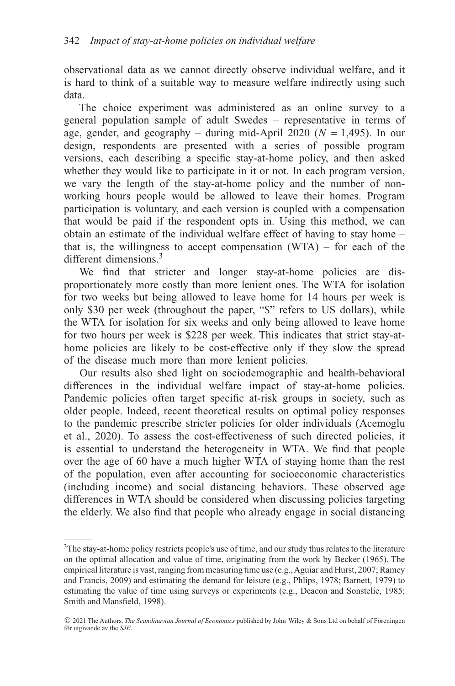observational data as we cannot directly observe individual welfare, and it is hard to think of a suitable way to measure welfare indirectly using such data.

The choice experiment was administered as an online survey to a general population sample of adult Swedes – representative in terms of age, gender, and geography – during mid-April 2020 ( $N = 1,495$ ). In our design, respondents are presented with a series of possible program versions, each describing a specific stay-at-home policy, and then asked whether they would like to participate in it or not. In each program version, we vary the length of the stay-at-home policy and the number of nonworking hours people would be allowed to leave their homes. Program participation is voluntary, and each version is coupled with a compensation that would be paid if the respondent opts in. Using this method, we can obtain an estimate of the individual welfare effect of having to stay home – that is, the willingness to accept compensation  $(WTA)$  – for each of the different dimensions.<sup>3</sup>

We find that stricter and longer stay-at-home policies are disproportionately more costly than more lenient ones. The WTA for isolation for two weeks but being allowed to leave home for 14 hours per week is only \$30 per week (throughout the paper, "\$" refers to US dollars), while the WTA for isolation for six weeks and only being allowed to leave home for two hours per week is \$228 per week. This indicates that strict stay-athome policies are likely to be cost-effective only if they slow the spread of the disease much more than more lenient policies.

Our results also shed light on sociodemographic and health-behavioral differences in the individual welfare impact of stay-at-home policies. Pandemic policies often target specific at-risk groups in society, such as older people. Indeed, recent theoretical results on optimal policy responses to the pandemic prescribe stricter policies for older individuals (Acemoglu et al., 2020). To assess the cost-effectiveness of such directed policies, it is essential to understand the heterogeneity in WTA. We find that people over the age of 60 have a much higher WTA of staying home than the rest of the population, even after accounting for socioeconomic characteristics (including income) and social distancing behaviors. These observed age differences in WTA should be considered when discussing policies targeting the elderly. We also find that people who already engage in social distancing

<sup>&</sup>lt;sup>3</sup>The stay-at-home policy restricts people's use of time, and our study thus relates to the literature on the optimal allocation and value of time, originating from the work by Becker (1965). The empirical literature is vast, ranging from measuring time use (e.g.,Aguiar and Hurst, 2007; Ramey and Francis, 2009) and estimating the demand for leisure (e.g., Phlips, 1978; Barnett, 1979) to estimating the value of time using surveys or experiments (e.g., Deacon and Sonstelie, 1985; Smith and Mansfield, 1998).

<sup>© 2021</sup> The Authors. *The Scandinavian Journal of Economics* published by John Wiley & Sons Ltd on behalf of Föreningen för utgivande av the SJE.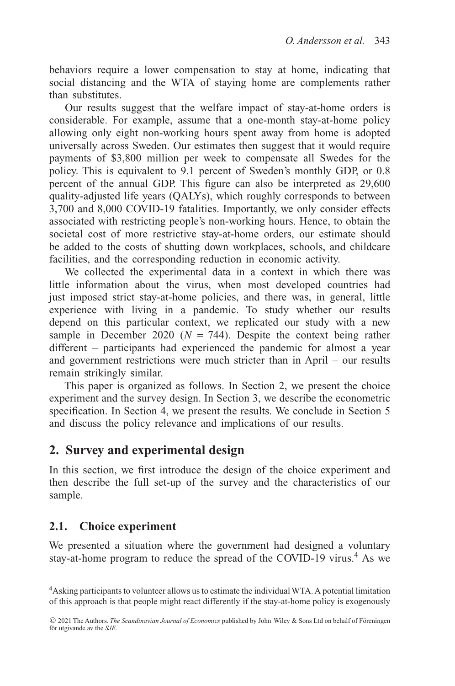behaviors require a lower compensation to stay at home, indicating that social distancing and the WTA of staying home are complements rather than substitutes.

Our results suggest that the welfare impact of stay-at-home orders is considerable. For example, assume that a one-month stay-at-home policy allowing only eight non-working hours spent away from home is adopted universally across Sweden. Our estimates then suggest that it would require payments of \$3,800 million per week to compensate all Swedes for the policy. This is equivalent to 9.1 percent of Sweden's monthly GDP, or 0.8 percent of the annual GDP. This figure can also be interpreted as 29,600 quality-adjusted life years (QALYs), which roughly corresponds to between 3,700 and 8,000 COVID-19 fatalities. Importantly, we only consider effects associated with restricting people's non-working hours. Hence, to obtain the societal cost of more restrictive stay-at-home orders, our estimate should be added to the costs of shutting down workplaces, schools, and childcare facilities, and the corresponding reduction in economic activity.

We collected the experimental data in a context in which there was little information about the virus, when most developed countries had just imposed strict stay-at-home policies, and there was, in general, little experience with living in a pandemic. To study whether our results depend on this particular context, we replicated our study with a new sample in December 2020 ( $N = 744$ ). Despite the context being rather different – participants had experienced the pandemic for almost a year and government restrictions were much stricter than in April – our results remain strikingly similar.

This paper is organized as follows. In Section 2, we present the choice experiment and the survey design. In Section 3, we describe the econometric specification. In Section 4, we present the results. We conclude in Section 5 and discuss the policy relevance and implications of our results.

### **2. Survey and experimental design**

In this section, we first introduce the design of the choice experiment and then describe the full set-up of the survey and the characteristics of our sample.

### **2.1. Choice experiment**

We presented a situation where the government had designed a voluntary stay-at-home program to reduce the spread of the COVID-19 virus.<sup>4</sup> As we

<sup>&</sup>lt;sup>4</sup> Asking participants to volunteer allows us to estimate the individual WTA. A potential limitation of this approach is that people might react differently if the stay-at-home policy is exogenously

<sup>© 2021</sup> The Authors. *The Scandinavian Journal of Economics* published by John Wiley & Sons Ltd on behalf of Föreningen för utgivande av the SJE.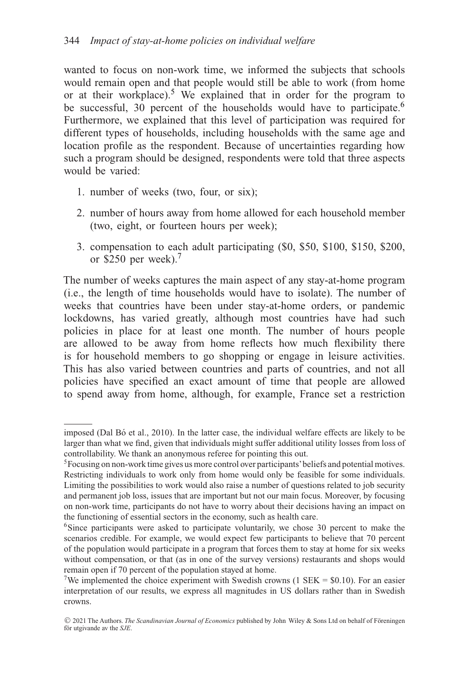wanted to focus on non-work time, we informed the subjects that schools would remain open and that people would still be able to work (from home or at their workplace).<sup>5</sup> We explained that in order for the program to be successful, 30 percent of the households would have to participate.<sup>6</sup> Furthermore, we explained that this level of participation was required for different types of households, including households with the same age and location profile as the respondent. Because of uncertainties regarding how such a program should be designed, respondents were told that three aspects would be varied:

- 1. number of weeks (two, four, or six);
- 2. number of hours away from home allowed for each household member (two, eight, or fourteen hours per week);
- 3. compensation to each adult participating (\$0, \$50, \$100, \$150, \$200, or \$250 per week).<sup>7</sup>

The number of weeks captures the main aspect of any stay-at-home program (i.e., the length of time households would have to isolate). The number of weeks that countries have been under stay-at-home orders, or pandemic lockdowns, has varied greatly, although most countries have had such policies in place for at least one month. The number of hours people are allowed to be away from home reflects how much flexibility there is for household members to go shopping or engage in leisure activities. This has also varied between countries and parts of countries, and not all policies have specified an exact amount of time that people are allowed to spend away from home, although, for example, France set a restriction

imposed (Dal Bó et al., 2010). In the latter case, the individual welfare effects are likely to be larger than what we find, given that individuals might suffer additional utility losses from loss of controllability. We thank an anonymous referee for pointing this out.

<sup>&</sup>lt;sup>5</sup>Focusing on non-work time gives us more control over participants' beliefs and potential motives. Restricting individuals to work only from home would only be feasible for some individuals. Limiting the possibilities to work would also raise a number of questions related to job security and permanent job loss, issues that are important but not our main focus. Moreover, by focusing on non-work time, participants do not have to worry about their decisions having an impact on the functioning of essential sectors in the economy, such as health care.

<sup>&</sup>lt;sup>6</sup>Since participants were asked to participate voluntarily, we chose 30 percent to make the scenarios credible. For example, we would expect few participants to believe that 70 percent of the population would participate in a program that forces them to stay at home for six weeks without compensation, or that (as in one of the survey versions) restaurants and shops would remain open if 70 percent of the population stayed at home.

<sup>&</sup>lt;sup>7</sup>We implemented the choice experiment with Swedish crowns (1 SEK =  $$0.10$ ). For an easier interpretation of our results, we express all magnitudes in US dollars rather than in Swedish crowns.

<sup>© 2021</sup> The Authors. *The Scandinavian Journal of Economics* published by John Wiley & Sons Ltd on behalf of Föreningen för utgivande av the SJE.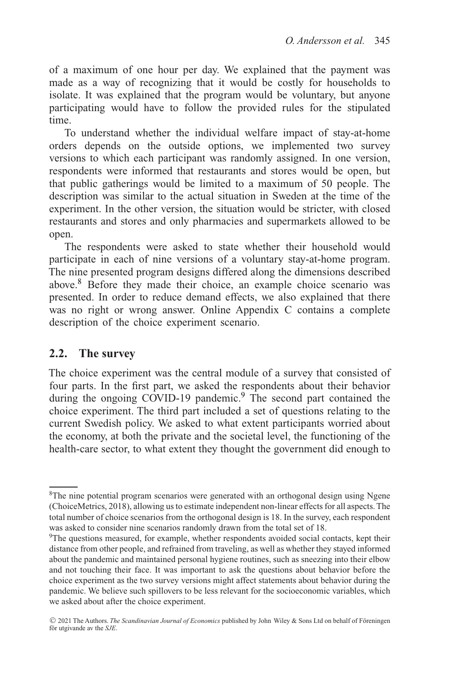of a maximum of one hour per day. We explained that the payment was made as a way of recognizing that it would be costly for households to isolate. It was explained that the program would be voluntary, but anyone participating would have to follow the provided rules for the stipulated time.

To understand whether the individual welfare impact of stay-at-home orders depends on the outside options, we implemented two survey versions to which each participant was randomly assigned. In one version, respondents were informed that restaurants and stores would be open, but that public gatherings would be limited to a maximum of 50 people. The description was similar to the actual situation in Sweden at the time of the experiment. In the other version, the situation would be stricter, with closed restaurants and stores and only pharmacies and supermarkets allowed to be open.

The respondents were asked to state whether their household would participate in each of nine versions of a voluntary stay-at-home program. The nine presented program designs differed along the dimensions described above.<sup>8</sup> Before they made their choice, an example choice scenario was presented. In order to reduce demand effects, we also explained that there was no right or wrong answer. Online Appendix C contains a complete description of the choice experiment scenario.

### **2.2. The survey**

The choice experiment was the central module of a survey that consisted of four parts. In the first part, we asked the respondents about their behavior during the ongoing COVID-19 pandemic.<sup>9</sup> The second part contained the choice experiment. The third part included a set of questions relating to the current Swedish policy. We asked to what extent participants worried about the economy, at both the private and the societal level, the functioning of the health-care sector, to what extent they thought the government did enough to

<sup>&</sup>lt;sup>8</sup>The nine potential program scenarios were generated with an orthogonal design using Ngene (ChoiceMetrics, 2018), allowing us to estimate independent non-linear effects for all aspects. The total number of choice scenarios from the orthogonal design is 18. In the survey, each respondent was asked to consider nine scenarios randomly drawn from the total set of 18.

<sup>&</sup>lt;sup>9</sup>The questions measured, for example, whether respondents avoided social contacts, kept their distance from other people, and refrained from traveling, as well as whether they stayed informed about the pandemic and maintained personal hygiene routines, such as sneezing into their elbow and not touching their face. It was important to ask the questions about behavior before the choice experiment as the two survey versions might affect statements about behavior during the pandemic. We believe such spillovers to be less relevant for the socioeconomic variables, which we asked about after the choice experiment.

<sup>© 2021</sup> The Authors. *The Scandinavian Journal of Economics* published by John Wiley & Sons Ltd on behalf of Föreningen för utgivande av the SJE.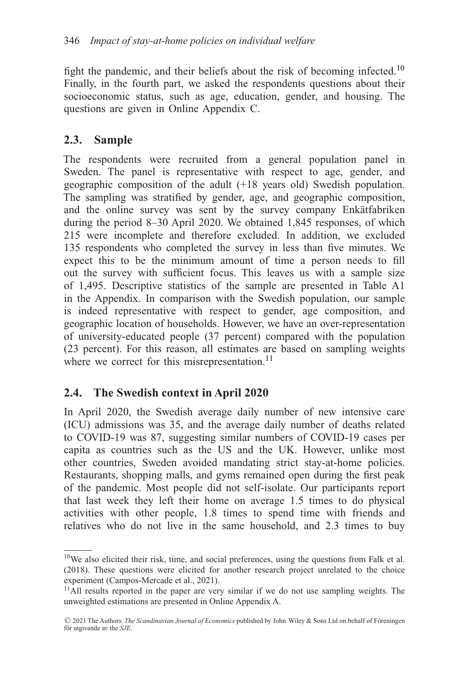fight the pandemic, and their beliefs about the risk of becoming infected.<sup>10</sup> Finally, in the fourth part, we asked the respondents questions about their socioeconomic status, such as age, education, gender, and housing. The questions are given in Online Appendix C.

### **2.3. Sample**

The respondents were recruited from a general population panel in Sweden. The panel is representative with respect to age, gender, and geographic composition of the adult (+18 years old) Swedish population. The sampling was stratified by gender, age, and geographic composition, and the online survey was sent by the survey company Enkätfabriken during the period 8–30 April 2020. We obtained 1,845 responses, of which 215 were incomplete and therefore excluded. In addition, we excluded 135 respondents who completed the survey in less than five minutes. We expect this to be the minimum amount of time a person needs to fill out the survey with sufficient focus. This leaves us with a sample size of 1,495. Descriptive statistics of the sample are presented in Table A1 in the Appendix. In comparison with the Swedish population, our sample is indeed representative with respect to gender, age composition, and geographic location of households. However, we have an over-representation of university-educated people (37 percent) compared with the population (23 percent). For this reason, all estimates are based on sampling weights where we correct for this misrepresentation. $^{11}$ 

### **2.4. The Swedish context in April 2020**

In April 2020, the Swedish average daily number of new intensive care (ICU) admissions was 35, and the average daily number of deaths related to COVID-19 was 87, suggesting similar numbers of COVID-19 cases per capita as countries such as the US and the UK. However, unlike most other countries, Sweden avoided mandating strict stay-at-home policies. Restaurants, shopping malls, and gyms remained open during the first peak of the pandemic. Most people did not self-isolate. Our participants report that last week they left their home on average 1.5 times to do physical activities with other people, 1.8 times to spend time with friends and relatives who do not live in the same household, and 2.3 times to buy

<sup>10</sup>We also elicited their risk, time, and social preferences, using the questions from Falk et al. (2018). These questions were elicited for another research project unrelated to the choice experiment (Campos-Mercade et al., 2021).

 $<sup>11</sup>$ All results reported in the paper are very similar if we do not use sampling weights. The</sup> unweighted estimations are presented in Online Appendix A.

<sup>© 2021</sup> The Authors. *The Scandinavian Journal of Economics* published by John Wiley & Sons Ltd on behalf of Föreningen för utgivande av the SJE.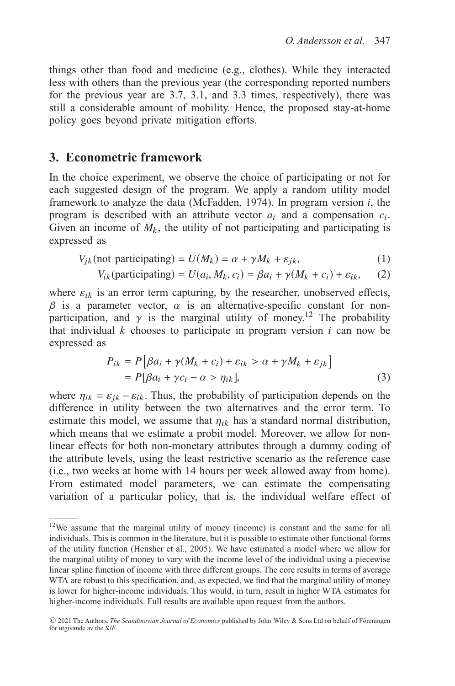things other than food and medicine (e.g., clothes). While they interacted less with others than the previous year (the corresponding reported numbers for the previous year are 3.7, 3.1, and 3.3 times, respectively), there was still a considerable amount of mobility. Hence, the proposed stay-at-home policy goes beyond private mitigation efforts.

#### **3. Econometric framework**

In the choice experiment, we observe the choice of participating or not for each suggested design of the program. We apply a random utility model framework to analyze the data (McFadden, 1974). In program version *i*, the program is described with an attribute vector  $a_i$  and a compensation  $c_i$ . Given an income of  $M_k$ , the utility of not participating and participating is expressed as

$$
V_{jk}(\text{not participating}) = U(M_k) = \alpha + \gamma M_k + \varepsilon_{jk},\tag{1}
$$

$$
V_{ik}(\text{participating}) = U(a_i, M_k, c_i) = \beta a_i + \gamma (M_k + c_i) + \varepsilon_{ik}, \qquad (2)
$$

where  $\varepsilon_{ik}$  is an error term capturing, by the researcher, unobserved effects,  $\beta$  is a parameter vector,  $\alpha$  is an alternative-specific constant for nonparticipation, and  $\gamma$  is the marginal utility of money.<sup>12</sup> The probability that individual *k* chooses to participate in program version *i* can now be expressed as

$$
P_{ik} = P[\beta a_i + \gamma(M_k + c_i) + \varepsilon_{ik} > \alpha + \gamma M_k + \varepsilon_{jk}]
$$
  
=  $P[\beta a_i + \gamma c_i - \alpha > \eta_{ik}],$  (3)

where  $\eta_{ik} = \varepsilon_{jk} - \varepsilon_{ik}$ . Thus, the probability of participation depends on the difference in utility between the two alternatives and the error term. To estimate this model, we assume that  $\eta_{ik}$  has a standard normal distribution, which means that we estimate a probit model. Moreover, we allow for nonlinear effects for both non-monetary attributes through a dummy coding of the attribute levels, using the least restrictive scenario as the reference case (i.e., two weeks at home with 14 hours per week allowed away from home). From estimated model parameters, we can estimate the compensating variation of a particular policy, that is, the individual welfare effect of

 $12$ We assume that the marginal utility of money (income) is constant and the same for all individuals. This is common in the literature, but it is possible to estimate other functional forms of the utility function (Hensher et al., 2005). We have estimated a model where we allow for the marginal utility of money to vary with the income level of the individual using a piecewise linear spline function of income with three different groups. The core results in terms of average WTA are robust to this specification, and, as expected, we find that the marginal utility of money is lower for higher-income individuals. This would, in turn, result in higher WTA estimates for higher-income individuals. Full results are available upon request from the authors.

<sup>© 2021</sup> The Authors. *The Scandinavian Journal of Economics* published by John Wiley & Sons Ltd on behalf of Föreningen för utgivande av the SJE.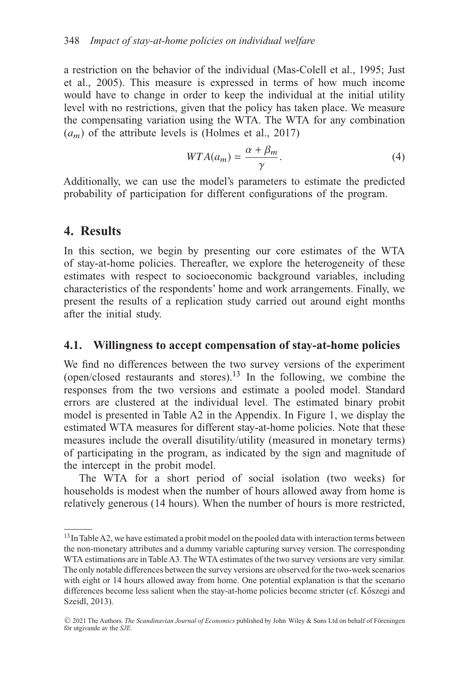a restriction on the behavior of the individual (Mas-Colell et al., 1995; Just et al., 2005). This measure is expressed in terms of how much income would have to change in order to keep the individual at the initial utility level with no restrictions, given that the policy has taken place. We measure the compensating variation using the WTA. The WTA for any combination  $(a_m)$  of the attribute levels is (Holmes et al., 2017)

$$
WTA(a_m) = \frac{\alpha + \beta_m}{\gamma}.
$$
\n<sup>(4)</sup>

Additionally, we can use the model's parameters to estimate the predicted probability of participation for different configurations of the program.

### **4. Results**

In this section, we begin by presenting our core estimates of the WTA of stay-at-home policies. Thereafter, we explore the heterogeneity of these estimates with respect to socioeconomic background variables, including characteristics of the respondents' home and work arrangements. Finally, we present the results of a replication study carried out around eight months after the initial study.

#### **4.1. Willingness to accept compensation of stay-at-home policies**

We find no differences between the two survey versions of the experiment (open/closed restaurants and stores).<sup>13</sup> In the following, we combine the responses from the two versions and estimate a pooled model. Standard errors are clustered at the individual level. The estimated binary probit model is presented in Table A2 in the Appendix. In Figure 1, we display the estimated WTA measures for different stay-at-home policies. Note that these measures include the overall disutility/utility (measured in monetary terms) of participating in the program, as indicated by the sign and magnitude of the intercept in the probit model.

The WTA for a short period of social isolation (two weeks) for households is modest when the number of hours allowed away from home is relatively generous (14 hours). When the number of hours is more restricted,

<sup>&</sup>lt;sup>13</sup>In Table A2, we have estimated a probit model on the pooled data with interaction terms between the non-monetary attributes and a dummy variable capturing survey version. The corresponding WTA estimations are in Table A3. The WTA estimates of the two survey versions are very similar. The only notable differences between the survey versions are observed for the two-week scenarios with eight or 14 hours allowed away from home. One potential explanation is that the scenario differences become less salient when the stay-at-home policies become stricter (cf. Kőszegi and Szeidl, 2013).

<sup>© 2021</sup> The Authors. *The Scandinavian Journal of Economics* published by John Wiley & Sons Ltd on behalf of Föreningen för utgivande av the SJE.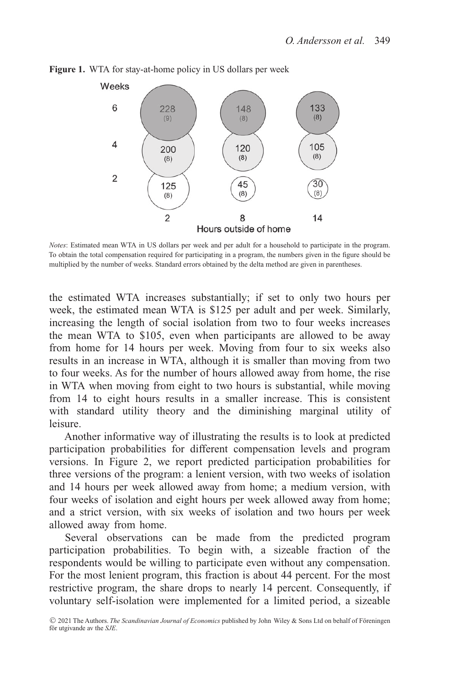

**Figure 1.** WTA for stay-at-home policy in US dollars per week

*Notes*: Estimated mean WTA in US dollars per week and per adult for a household to participate in the program. To obtain the total compensation required for participating in a program, the numbers given in the figure should be multiplied by the number of weeks. Standard errors obtained by the delta method are given in parentheses.

the estimated WTA increases substantially; if set to only two hours per week, the estimated mean WTA is \$125 per adult and per week. Similarly, increasing the length of social isolation from two to four weeks increases the mean WTA to \$105, even when participants are allowed to be away from home for 14 hours per week. Moving from four to six weeks also results in an increase in WTA, although it is smaller than moving from two to four weeks. As for the number of hours allowed away from home, the rise in WTA when moving from eight to two hours is substantial, while moving from 14 to eight hours results in a smaller increase. This is consistent with standard utility theory and the diminishing marginal utility of leisure.

Another informative way of illustrating the results is to look at predicted participation probabilities for different compensation levels and program versions. In Figure 2, we report predicted participation probabilities for three versions of the program: a lenient version, with two weeks of isolation and 14 hours per week allowed away from home; a medium version, with four weeks of isolation and eight hours per week allowed away from home; and a strict version, with six weeks of isolation and two hours per week allowed away from home.

Several observations can be made from the predicted program participation probabilities. To begin with, a sizeable fraction of the respondents would be willing to participate even without any compensation. For the most lenient program, this fraction is about 44 percent. For the most restrictive program, the share drops to nearly 14 percent. Consequently, if voluntary self-isolation were implemented for a limited period, a sizeable

<sup>© 2021</sup> The Authors. *The Scandinavian Journal of Economics* published by John Wiley & Sons Ltd on behalf of Föreningen för utgivande av the SJE.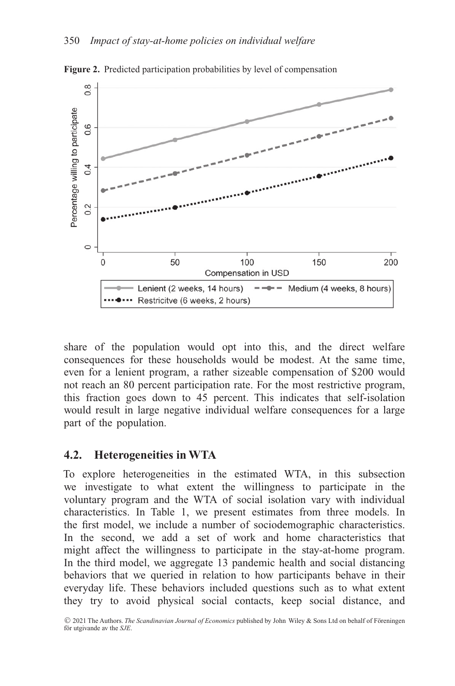

**Figure 2.** Predicted participation probabilities by level of compensation

share of the population would opt into this, and the direct welfare consequences for these households would be modest. At the same time, even for a lenient program, a rather sizeable compensation of \$200 would not reach an 80 percent participation rate. For the most restrictive program, this fraction goes down to 45 percent. This indicates that self-isolation would result in large negative individual welfare consequences for a large part of the population.

#### **4.2. Heterogeneities in WTA**

To explore heterogeneities in the estimated WTA, in this subsection we investigate to what extent the willingness to participate in the voluntary program and the WTA of social isolation vary with individual characteristics. In Table 1, we present estimates from three models. In the first model, we include a number of sociodemographic characteristics. In the second, we add a set of work and home characteristics that might affect the willingness to participate in the stay-at-home program. In the third model, we aggregate 13 pandemic health and social distancing behaviors that we queried in relation to how participants behave in their everyday life. These behaviors included questions such as to what extent they try to avoid physical social contacts, keep social distance, and

<sup>© 2021</sup> The Authors. *The Scandinavian Journal of Economics* published by John Wiley & Sons Ltd on behalf of Föreningen för utgivande av the SJE.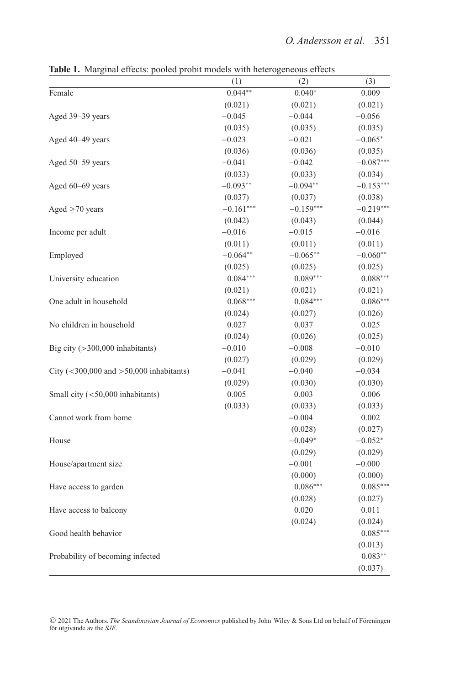|                                                      | (1)         | (2)         | (3)         |
|------------------------------------------------------|-------------|-------------|-------------|
| Female                                               | $0.044**$   | $0.040*$    | 0.009       |
|                                                      | (0.021)     | (0.021)     | (0.021)     |
| Aged 39-39 years                                     | $-0.045$    | $-0.044$    | $-0.056$    |
|                                                      | (0.035)     | (0.035)     | (0.035)     |
| Aged 40-49 years                                     | $-0.023$    | $-0.021$    | $-0.065*$   |
|                                                      | (0.036)     | (0.036)     | (0.035)     |
| Aged 50–59 years                                     | $-0.041$    | $-0.042$    | $-0.087***$ |
|                                                      | (0.033)     | (0.033)     | (0.034)     |
| Aged 60–69 years                                     | $-0.093**$  | $-0.094**$  | $-0.153***$ |
|                                                      | (0.037)     | (0.037)     | (0.038)     |
| Aged $\geq 70$ years                                 | $-0.161***$ | $-0.159***$ | $-0.219***$ |
|                                                      | (0.042)     | (0.043)     | (0.044)     |
| Income per adult                                     | $-0.016$    | $-0.015$    | $-0.016$    |
|                                                      | (0.011)     | (0.011)     | (0.011)     |
| Employed                                             | $-0.064**$  | $-0.065**$  | $-0.060**$  |
|                                                      | (0.025)     | (0.025)     | (0.025)     |
| University education                                 | $0.084***$  | $0.089***$  | $0.088***$  |
|                                                      | (0.021)     | (0.021)     | (0.021)     |
| One adult in household                               | $0.068***$  | $0.084***$  | $0.086***$  |
|                                                      | (0.024)     | (0.027)     | (0.026)     |
| No children in household                             | 0.027       | 0.037       | 0.025       |
|                                                      | (0.024)     | (0.026)     | (0.025)     |
| Big city $(>300,000)$ inhabitants)                   | $-0.010$    | $-0.008$    | $-0.010$    |
|                                                      | (0.027)     | (0.029)     | (0.029)     |
| City ( $\langle$ 300,000 and $>$ 50,000 inhabitants) | $-0.041$    | $-0.040$    | $-0.034$    |
|                                                      | (0.029)     | (0.030)     | (0.030)     |
| Small city $(<50,000$ inhabitants)                   | 0.005       | 0.003       | 0.006       |
|                                                      | (0.033)     | (0.033)     | (0.033)     |
| Cannot work from home                                |             | $-0.004$    | 0.002       |
|                                                      |             | (0.028)     | (0.027)     |
| House                                                |             | $-0.049*$   | $-0.052*$   |
|                                                      |             | (0.029)     | (0.029)     |
| House/apartment size                                 |             | $-0.001$    | $-0.000$    |
|                                                      |             | (0.000)     | (0.000)     |
| Have access to garden                                |             | $0.086***$  | $0.085***$  |
|                                                      |             | (0.028)     | (0.027)     |
| Have access to balcony                               |             | 0.020       | 0.011       |
|                                                      |             | (0.024)     | (0.024)     |
| Good health behavior                                 |             |             | $0.085***$  |
|                                                      |             |             | (0.013)     |
| Probability of becoming infected                     |             |             | $0.083**$   |
|                                                      |             |             | (0.037)     |

**Table 1.** Marginal effects: pooled probit models with heterogeneous effects

© 2021 The Authors. *The Scandinavian Journal of Economics* published by John Wiley & Sons Ltd on behalf of Föreningen för utgivande av the *SJE*.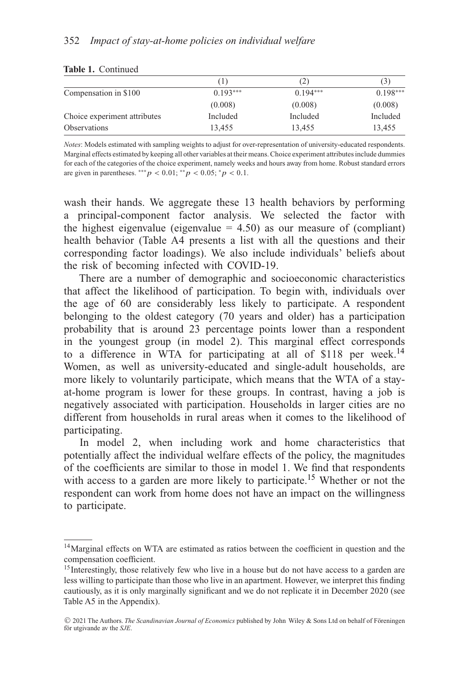|                              |            | (2)        | (3)        |
|------------------------------|------------|------------|------------|
| Compensation in \$100        | $0.193***$ | $0.194***$ | $0.198***$ |
|                              | (0.008)    | (0.008)    | (0.008)    |
| Choice experiment attributes | Included   | Included   | Included   |
| <b>Observations</b>          | 13.455     | 13.455     | 13.455     |

#### **Table 1.** Continued

*Notes*: Models estimated with sampling weights to adjust for over-representation of university-educated respondents. Marginal effects estimated by keeping all other variables at their means. Choice experiment attributes include dummies for each of the categories of the choice experiment, namely weeks and hours away from home. Robust standard errors are given in parentheses. \*\*\*  $p < 0.01$ ; \*\*  $p < 0.05$ ; \*  $p < 0.1$ .

wash their hands. We aggregate these 13 health behaviors by performing a principal-component factor analysis. We selected the factor with the highest eigenvalue (eigenvalue  $= 4.50$ ) as our measure of (compliant) health behavior (Table A4 presents a list with all the questions and their corresponding factor loadings). We also include individuals' beliefs about the risk of becoming infected with COVID-19.

There are a number of demographic and socioeconomic characteristics that affect the likelihood of participation. To begin with, individuals over the age of 60 are considerably less likely to participate. A respondent belonging to the oldest category (70 years and older) has a participation probability that is around 23 percentage points lower than a respondent in the youngest group (in model 2). This marginal effect corresponds to a difference in WTA for participating at all of  $$118$  per week.<sup>14</sup> Women, as well as university-educated and single-adult households, are more likely to voluntarily participate, which means that the WTA of a stayat-home program is lower for these groups. In contrast, having a job is negatively associated with participation. Households in larger cities are no different from households in rural areas when it comes to the likelihood of participating.

In model 2, when including work and home characteristics that potentially affect the individual welfare effects of the policy, the magnitudes of the coefficients are similar to those in model 1. We find that respondents with access to a garden are more likely to participate.<sup>15</sup> Whether or not the respondent can work from home does not have an impact on the willingness to participate.

<sup>&</sup>lt;sup>14</sup>Marginal effects on WTA are estimated as ratios between the coefficient in question and the compensation coefficient.

<sup>&</sup>lt;sup>15</sup>Interestingly, those relatively few who live in a house but do not have access to a garden are less willing to participate than those who live in an apartment. However, we interpret this finding cautiously, as it is only marginally significant and we do not replicate it in December 2020 (see Table A5 in the Appendix).

<sup>© 2021</sup> The Authors. *The Scandinavian Journal of Economics* published by John Wiley & Sons Ltd on behalf of Föreningen för utgivande av the SJE.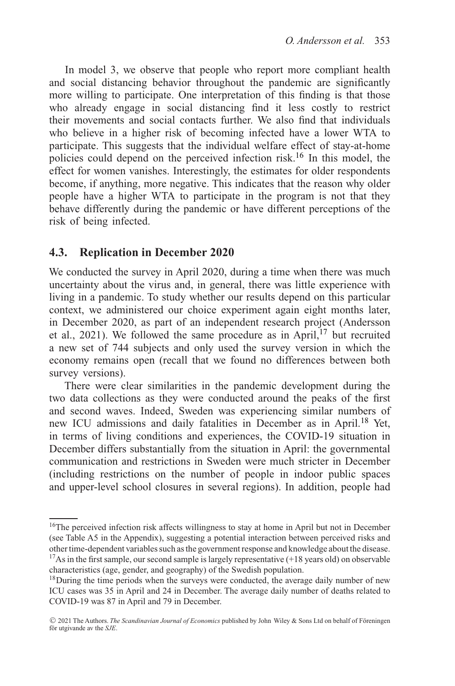In model 3, we observe that people who report more compliant health and social distancing behavior throughout the pandemic are significantly more willing to participate. One interpretation of this finding is that those who already engage in social distancing find it less costly to restrict their movements and social contacts further. We also find that individuals who believe in a higher risk of becoming infected have a lower WTA to participate. This suggests that the individual welfare effect of stay-at-home policies could depend on the perceived infection risk.<sup>16</sup> In this model, the effect for women vanishes. Interestingly, the estimates for older respondents become, if anything, more negative. This indicates that the reason why older people have a higher WTA to participate in the program is not that they behave differently during the pandemic or have different perceptions of the risk of being infected.

#### **4.3. Replication in December 2020**

We conducted the survey in April 2020, during a time when there was much uncertainty about the virus and, in general, there was little experience with living in a pandemic. To study whether our results depend on this particular context, we administered our choice experiment again eight months later, in December 2020, as part of an independent research project (Andersson et al., 2021). We followed the same procedure as in April, $^{17}$  but recruited a new set of 744 subjects and only used the survey version in which the economy remains open (recall that we found no differences between both survey versions).

There were clear similarities in the pandemic development during the two data collections as they were conducted around the peaks of the first and second waves. Indeed, Sweden was experiencing similar numbers of new ICU admissions and daily fatalities in December as in April.18 Yet, in terms of living conditions and experiences, the COVID-19 situation in December differs substantially from the situation in April: the governmental communication and restrictions in Sweden were much stricter in December (including restrictions on the number of people in indoor public spaces and upper-level school closures in several regions). In addition, people had

characteristics (age, gender, and geography) of the Swedish population.

<sup>&</sup>lt;sup>16</sup>The perceived infection risk affects willingness to stay at home in April but not in December (see Table A5 in the Appendix), suggesting a potential interaction between perceived risks and other time-dependent variables such as the government response and knowledge about the disease.  $17As$  in the first sample, our second sample is largely representative  $(+18$  years old) on observable

<sup>&</sup>lt;sup>18</sup>During the time periods when the surveys were conducted, the average daily number of new ICU cases was 35 in April and 24 in December. The average daily number of deaths related to COVID-19 was 87 in April and 79 in December.

<sup>© 2021</sup> The Authors. *The Scandinavian Journal of Economics* published by John Wiley & Sons Ltd on behalf of Föreningen för utgivande av the SJE.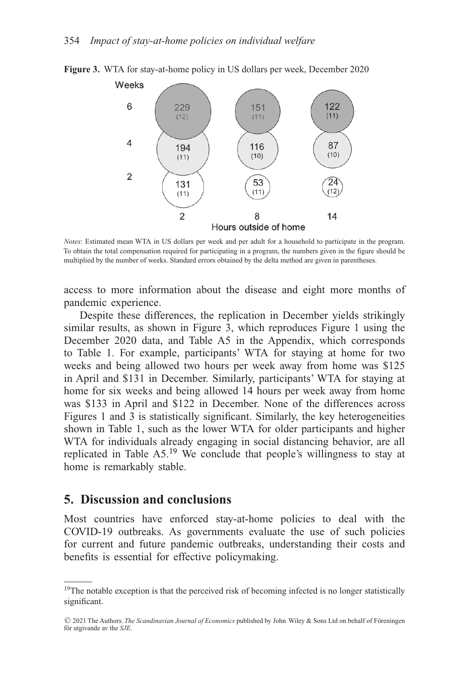

**Figure 3.** WTA for stay-at-home policy in US dollars per week, December 2020

*Notes*: Estimated mean WTA in US dollars per week and per adult for a household to participate in the program. To obtain the total compensation required for participating in a program, the numbers given in the figure should be multiplied by the number of weeks. Standard errors obtained by the delta method are given in parentheses.

access to more information about the disease and eight more months of pandemic experience.

Despite these differences, the replication in December yields strikingly similar results, as shown in Figure 3, which reproduces Figure 1 using the December 2020 data, and Table A5 in the Appendix, which corresponds to Table 1. For example, participants' WTA for staying at home for two weeks and being allowed two hours per week away from home was \$125 in April and \$131 in December. Similarly, participants' WTA for staying at home for six weeks and being allowed 14 hours per week away from home was \$133 in April and \$122 in December. None of the differences across Figures 1 and 3 is statistically significant. Similarly, the key heterogeneities shown in Table 1, such as the lower WTA for older participants and higher WTA for individuals already engaging in social distancing behavior, are all replicated in Table  $A5<sup>19</sup>$  We conclude that people's willingness to stay at home is remarkably stable.

### **5. Discussion and conclusions**

Most countries have enforced stay-at-home policies to deal with the COVID-19 outbreaks. As governments evaluate the use of such policies for current and future pandemic outbreaks, understanding their costs and benefits is essential for effective policymaking.

<sup>&</sup>lt;sup>19</sup>The notable exception is that the perceived risk of becoming infected is no longer statistically significant.

<sup>© 2021</sup> The Authors. *The Scandinavian Journal of Economics* published by John Wiley & Sons Ltd on behalf of Föreningen för utgivande av the SJE.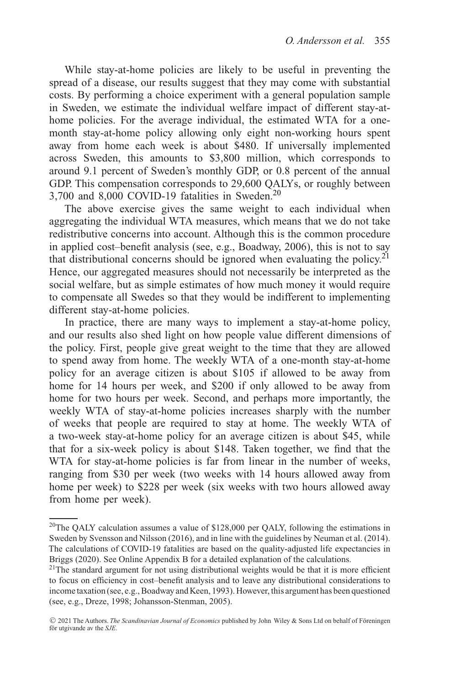While stay-at-home policies are likely to be useful in preventing the spread of a disease, our results suggest that they may come with substantial costs. By performing a choice experiment with a general population sample in Sweden, we estimate the individual welfare impact of different stay-athome policies. For the average individual, the estimated WTA for a onemonth stay-at-home policy allowing only eight non-working hours spent away from home each week is about \$480. If universally implemented across Sweden, this amounts to \$3,800 million, which corresponds to around 9.1 percent of Sweden's monthly GDP, or 0.8 percent of the annual GDP. This compensation corresponds to 29,600 QALYs, or roughly between 3,700 and 8,000 COVID-19 fatalities in Sweden.<sup>20</sup>

The above exercise gives the same weight to each individual when aggregating the individual WTA measures, which means that we do not take redistributive concerns into account. Although this is the common procedure in applied cost–benefit analysis (see, e.g., Boadway, 2006), this is not to say that distributional concerns should be ignored when evaluating the policy.<sup>21</sup> Hence, our aggregated measures should not necessarily be interpreted as the social welfare, but as simple estimates of how much money it would require to compensate all Swedes so that they would be indifferent to implementing different stay-at-home policies.

In practice, there are many ways to implement a stay-at-home policy, and our results also shed light on how people value different dimensions of the policy. First, people give great weight to the time that they are allowed to spend away from home. The weekly WTA of a one-month stay-at-home policy for an average citizen is about \$105 if allowed to be away from home for 14 hours per week, and \$200 if only allowed to be away from home for two hours per week. Second, and perhaps more importantly, the weekly WTA of stay-at-home policies increases sharply with the number of weeks that people are required to stay at home. The weekly WTA of a two-week stay-at-home policy for an average citizen is about \$45, while that for a six-week policy is about \$148. Taken together, we find that the WTA for stay-at-home policies is far from linear in the number of weeks, ranging from \$30 per week (two weeks with 14 hours allowed away from home per week) to \$228 per week (six weeks with two hours allowed away from home per week).

<sup>&</sup>lt;sup>20</sup>The QALY calculation assumes a value of \$128,000 per QALY, following the estimations in Sweden by Svensson and Nilsson (2016), and in line with the guidelines by Neuman et al. (2014). The calculations of COVID-19 fatalities are based on the quality-adjusted life expectancies in Briggs (2020). See Online Appendix B for a detailed explanation of the calculations.

 $2<sup>1</sup>$ The standard argument for not using distributional weights would be that it is more efficient to focus on efficiency in cost–benefit analysis and to leave any distributional considerations to income taxation (see, e.g., Boadway and Keen, 1993). However, this argument has been questioned (see, e.g., Dreze, 1998; Johansson-Stenman, 2005).

<sup>© 2021</sup> The Authors. *The Scandinavian Journal of Economics* published by John Wiley & Sons Ltd on behalf of Föreningen för utgivande av the SJE.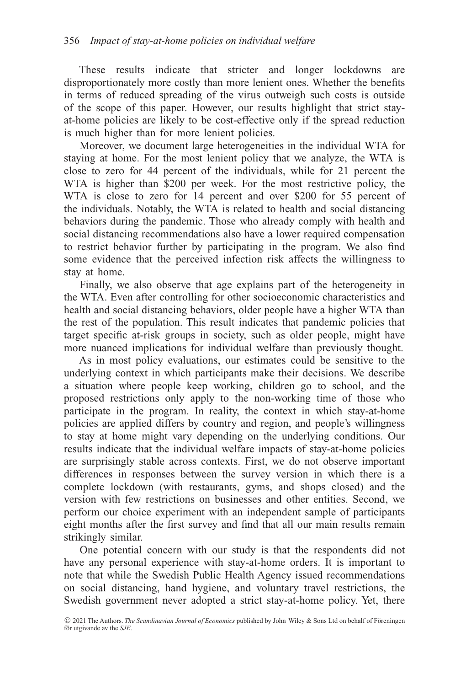These results indicate that stricter and longer lockdowns are disproportionately more costly than more lenient ones. Whether the benefits in terms of reduced spreading of the virus outweigh such costs is outside of the scope of this paper. However, our results highlight that strict stayat-home policies are likely to be cost-effective only if the spread reduction is much higher than for more lenient policies.

Moreover, we document large heterogeneities in the individual WTA for staying at home. For the most lenient policy that we analyze, the WTA is close to zero for 44 percent of the individuals, while for 21 percent the WTA is higher than \$200 per week. For the most restrictive policy, the WTA is close to zero for 14 percent and over \$200 for 55 percent of the individuals. Notably, the WTA is related to health and social distancing behaviors during the pandemic. Those who already comply with health and social distancing recommendations also have a lower required compensation to restrict behavior further by participating in the program. We also find some evidence that the perceived infection risk affects the willingness to stay at home.

Finally, we also observe that age explains part of the heterogeneity in the WTA. Even after controlling for other socioeconomic characteristics and health and social distancing behaviors, older people have a higher WTA than the rest of the population. This result indicates that pandemic policies that target specific at-risk groups in society, such as older people, might have more nuanced implications for individual welfare than previously thought.

As in most policy evaluations, our estimates could be sensitive to the underlying context in which participants make their decisions. We describe a situation where people keep working, children go to school, and the proposed restrictions only apply to the non-working time of those who participate in the program. In reality, the context in which stay-at-home policies are applied differs by country and region, and people's willingness to stay at home might vary depending on the underlying conditions. Our results indicate that the individual welfare impacts of stay-at-home policies are surprisingly stable across contexts. First, we do not observe important differences in responses between the survey version in which there is a complete lockdown (with restaurants, gyms, and shops closed) and the version with few restrictions on businesses and other entities. Second, we perform our choice experiment with an independent sample of participants eight months after the first survey and find that all our main results remain strikingly similar.

One potential concern with our study is that the respondents did not have any personal experience with stay-at-home orders. It is important to note that while the Swedish Public Health Agency issued recommendations on social distancing, hand hygiene, and voluntary travel restrictions, the Swedish government never adopted a strict stay-at-home policy. Yet, there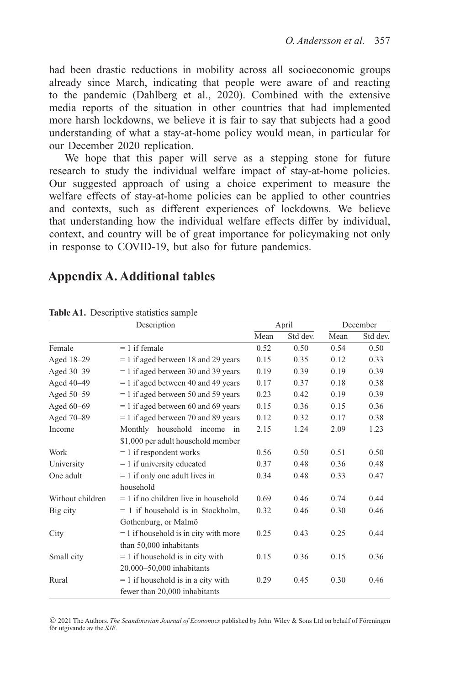had been drastic reductions in mobility across all socioeconomic groups already since March, indicating that people were aware of and reacting to the pandemic (Dahlberg et al., 2020). Combined with the extensive media reports of the situation in other countries that had implemented more harsh lockdowns, we believe it is fair to say that subjects had a good understanding of what a stay-at-home policy would mean, in particular for our December 2020 replication.

We hope that this paper will serve as a stepping stone for future research to study the individual welfare impact of stay-at-home policies. Our suggested approach of using a choice experiment to measure the welfare effects of stay-at-home policies can be applied to other countries and contexts, such as different experiences of lockdowns. We believe that understanding how the individual welfare effects differ by individual, context, and country will be of great importance for policymaking not only in response to COVID-19, but also for future pandemics.

### **Appendix A. Additional tables**

| Description      |                                         | April |          | December |          |
|------------------|-----------------------------------------|-------|----------|----------|----------|
|                  |                                         | Mean  | Std dev. | Mean     | Std dev. |
| Female           | $= 1$ if female                         | 0.52  | 0.50     | 0.54     | 0.50     |
| Aged 18-29       | $= 1$ if aged between 18 and 29 years   | 0.15  | 0.35     | 0.12     | 0.33     |
| Aged 30-39       | $= 1$ if aged between 30 and 39 years   | 0.19  | 0.39     | 0.19     | 0.39     |
| Aged 40-49       | $= 1$ if aged between 40 and 49 years   | 0.17  | 0.37     | 0.18     | 0.38     |
| Aged 50-59       | $= 1$ if aged between 50 and 59 years   | 0.23  | 0.42     | 0.19     | 0.39     |
| Aged 60-69       | $= 1$ if aged between 60 and 69 years   | 0.15  | 0.36     | 0.15     | 0.36     |
| Aged 70-89       | $= 1$ if aged between 70 and 89 years   | 0.12  | 0.32     | 0.17     | 0.38     |
| Income           | Monthly household income<br>in          | 2.15  | 1.24     | 2.09     | 1.23     |
|                  | \$1,000 per adult household member      |       |          |          |          |
| Work             | $= 1$ if respondent works               | 0.56  | 0.50     | 0.51     | 0.50     |
| University       | $= 1$ if university educated            | 0.37  | 0.48     | 0.36     | 0.48     |
| One adult        | $= 1$ if only one adult lives in        | 0.34  | 0.48     | 0.33     | 0.47     |
|                  | household                               |       |          |          |          |
| Without children | $= 1$ if no children live in household  | 0.69  | 0.46     | 0.74     | 0.44     |
| Big city         | $= 1$ if household is in Stockholm,     | 0.32  | 0.46     | 0.30     | 0.46     |
|                  | Gothenburg, or Malmö                    |       |          |          |          |
| City             | $= 1$ if household is in city with more | 0.25  | 0.43     | 0.25     | 0.44     |
|                  | than 50,000 inhabitants                 |       |          |          |          |
| Small city       | $= 1$ if household is in city with      | 0.15  | 0.36     | 0.15     | 0.36     |
|                  | 20,000-50,000 inhabitants               |       |          |          |          |
| Rural            | $= 1$ if household is in a city with    | 0.29  | 0.45     | 0.30     | 0.46     |
|                  | fewer than 20,000 inhabitants           |       |          |          |          |

**Table A1.** Descriptive statistics sample

© 2021 The Authors. *The Scandinavian Journal of Economics* published by John Wiley & Sons Ltd on behalf of Föreningen för utgivande av the SJE.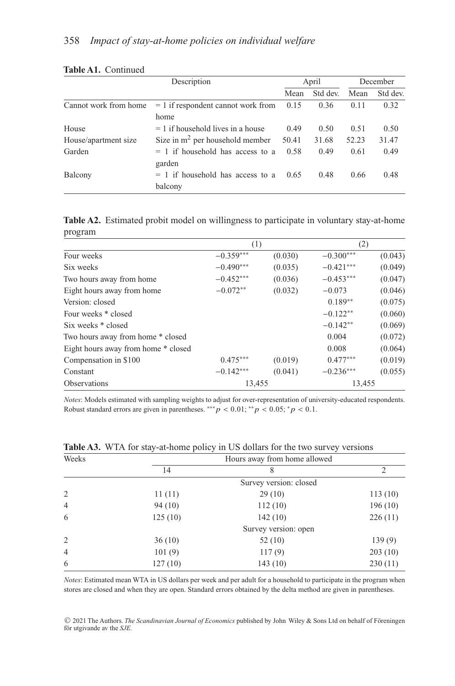|                       | Description                                  | April |          | December |          |
|-----------------------|----------------------------------------------|-------|----------|----------|----------|
|                       |                                              | Mean  | Std dev. | Mean     | Std dev. |
| Cannot work from home | $= 1$ if respondent cannot work from         | 0.15  | 0.36     | 0.11     | 0.32     |
|                       | home                                         |       |          |          |          |
| House                 | $= 1$ if household lives in a house          | 0.49  | 0.50     | 0.51     | 0.50     |
| House/apartment size  | Size in $m^2$ per household member           | 50.41 | 31.68    | 52.23    | 31.47    |
| Garden                | $= 1$ if household has access to a<br>garden | 0.58  | 0.49     | 0.61     | 0.49     |
| Balcony               | $= 1$ if household has access to a           | 0.65  | 0.48     | 0.66     | 0.48     |
|                       | balcony                                      |       |          |          |          |

#### **Table A1.** Continued

**Table A2.** Estimated probit model on willingness to participate in voluntary stay-at-home program

|                                     | (1)         |         | (2)         |         |
|-------------------------------------|-------------|---------|-------------|---------|
| Four weeks                          | $-0.359***$ | (0.030) | $-0.300***$ | (0.043) |
| Six weeks                           | $-0.490***$ | (0.035) | $-0.421***$ | (0.049) |
| Two hours away from home            | $-0.452***$ | (0.036) | $-0.453***$ | (0.047) |
| Eight hours away from home          | $-0.072**$  | (0.032) | $-0.073$    | (0.046) |
| Version: closed                     |             |         | $0.189**$   | (0.075) |
| Four weeks * closed                 |             |         | $-0.122**$  | (0.060) |
| Six weeks * closed                  |             |         | $-0.142**$  | (0.069) |
| Two hours away from home * closed   |             |         | 0.004       | (0.072) |
| Eight hours away from home * closed |             |         | 0.008       | (0.064) |
| Compensation in \$100               | $0.475***$  | (0.019) | $0.477***$  | (0.019) |
| Constant                            | $-0.142***$ | (0.041) | $-0.236***$ | (0.055) |
| <b>Observations</b>                 | 13,455      |         | 13,455      |         |

*Notes*: Models estimated with sampling weights to adjust for over-representation of university-educated respondents. Robust standard errors are given in parentheses. \*\*\*  $p < 0.01$ ; \*\*  $p < 0.05$ ; \*  $p < 0.1$ .

| Weeks<br>14    |         | Hours away from home allowed |         |  |
|----------------|---------|------------------------------|---------|--|
|                |         | 8                            | 2       |  |
|                |         | Survey version: closed       |         |  |
| 2              | 11(11)  | 29(10)                       | 113(10) |  |
| $\overline{4}$ | 94(10)  | 112(10)                      | 196(10) |  |
| 6              | 125(10) | 142(10)                      | 226(11) |  |
|                |         | Survey version: open         |         |  |
| 2              | 36(10)  | 52(10)                       | 139(9)  |  |
| $\overline{4}$ | 101(9)  | 117(9)                       | 203(10) |  |
| 6              | 127(10) | 143(10)                      | 230(11) |  |

**Table A3.** WTA for stay-at-home policy in US dollars for the two survey versions

*Notes*: Estimated mean WTA in US dollars per week and per adult for a household to participate in the program when stores are closed and when they are open. Standard errors obtained by the delta method are given in parentheses.

© 2021 The Authors. *The Scandinavian Journal of Economics* published by John Wiley & Sons Ltd on behalf of Föreningen för utgivande av the SJE.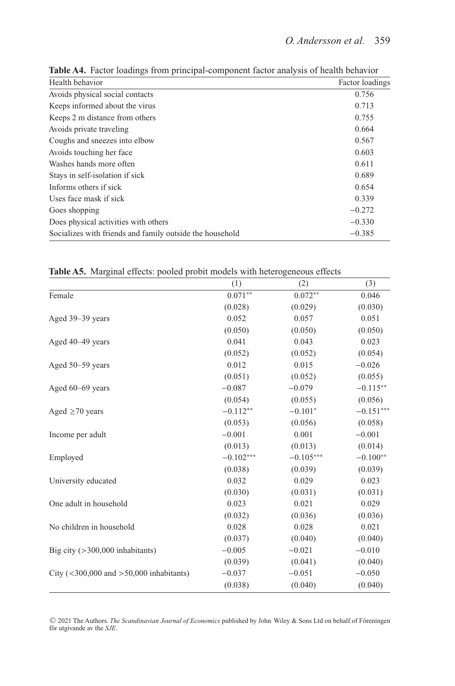| Health behavior                                          | Factor loadings |
|----------------------------------------------------------|-----------------|
| Avoids physical social contacts                          | 0.756           |
| Keeps informed about the virus                           | 0.713           |
| Keeps 2 m distance from others                           | 0.755           |
| Avoids private traveling                                 | 0.664           |
| Coughs and sneezes into elbow                            | 0.567           |
| Avoids touching her face                                 | 0.603           |
| Washes hands more often                                  | 0.611           |
| Stays in self-isolation if sick                          | 0.689           |
| Informs others if sick                                   | 0.654           |
| Uses face mask if sick                                   | 0.339           |
| Goes shopping                                            | $-0.272$        |
| Does physical activities with others                     | $-0.330$        |
| Socializes with friends and family outside the household | $-0.385$        |

**Table A4.** Factor loadings from principal-component factor analysis of health behavior

**Table A5.** Marginal effects: pooled probit models with heterogeneous effects

|                                                      | (1)         | (2)         | (3)         |
|------------------------------------------------------|-------------|-------------|-------------|
| Female                                               | $0.071**$   | $0.072**$   | 0.046       |
|                                                      | (0.028)     | (0.029)     | (0.030)     |
| Aged 39-39 years                                     | 0.052       | 0.057       | 0.051       |
|                                                      | (0.050)     | (0.050)     | (0.050)     |
| Aged 40–49 years                                     | 0.041       | 0.043       | 0.023       |
|                                                      | (0.052)     | (0.052)     | (0.054)     |
| Aged 50–59 years                                     | 0.012       | 0.015       | $-0.026$    |
|                                                      | (0.051)     | (0.052)     | (0.055)     |
| Aged 60–69 years                                     | $-0.087$    | $-0.079$    | $-0.115**$  |
|                                                      | (0.054)     | (0.055)     | (0.056)     |
| Aged $\geq 70$ years                                 | $-0.112**$  | $-0.101*$   | $-0.151***$ |
|                                                      | (0.053)     | (0.056)     | (0.058)     |
| Income per adult                                     | $-0.001$    | 0.001       | $-0.001$    |
|                                                      | (0.013)     | (0.013)     | (0.014)     |
| Employed                                             | $-0.102***$ | $-0.105***$ | $-0.100**$  |
|                                                      | (0.038)     | (0.039)     | (0.039)     |
| University educated                                  | 0.032       | 0.029       | 0.023       |
|                                                      | (0.030)     | (0.031)     | (0.031)     |
| One adult in household                               | 0.023       | 0.021       | 0.029       |
|                                                      | (0.032)     | (0.036)     | (0.036)     |
| No children in household                             | 0.028       | 0.028       | 0.021       |
|                                                      | (0.037)     | (0.040)     | (0.040)     |
| Big city $($ >300,000 inhabitants)                   | $-0.005$    | $-0.021$    | $-0.010$    |
|                                                      | (0.039)     | (0.041)     | (0.040)     |
| City ( $\langle$ 300,000 and $>$ 50,000 inhabitants) | $-0.037$    | $-0.051$    | $-0.050$    |
|                                                      | (0.038)     | (0.040)     | (0.040)     |
|                                                      |             |             |             |

© 2021 The Authors. *The Scandinavian Journal of Economics* published by John Wiley & Sons Ltd on behalf of Föreningen för utgivande av the *SJE*.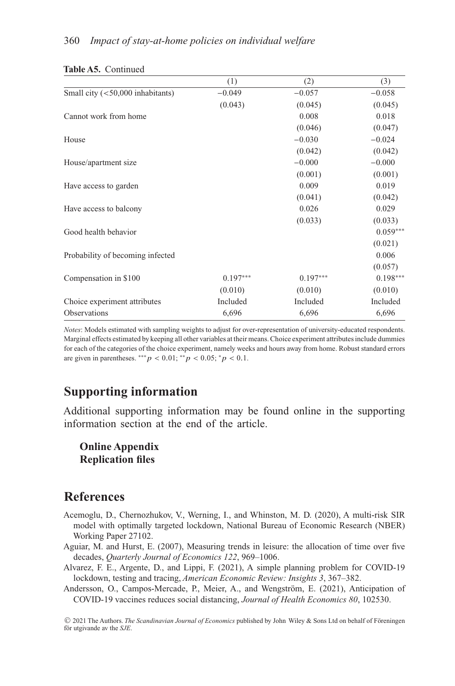|                                    | (1)        | (2)        | (3)        |
|------------------------------------|------------|------------|------------|
| Small city $(<50,000$ inhabitants) | $-0.049$   | $-0.057$   | $-0.058$   |
|                                    | (0.043)    | (0.045)    | (0.045)    |
| Cannot work from home              |            | 0.008      | 0.018      |
|                                    |            | (0.046)    | (0.047)    |
| House                              |            | $-0.030$   | $-0.024$   |
|                                    |            | (0.042)    | (0.042)    |
| House/apartment size               |            | $-0.000$   | $-0.000$   |
|                                    |            | (0.001)    | (0.001)    |
| Have access to garden              |            | 0.009      | 0.019      |
|                                    |            | (0.041)    | (0.042)    |
| Have access to balcony             |            | 0.026      | 0.029      |
|                                    |            | (0.033)    | (0.033)    |
| Good health behavior               |            |            | $0.059***$ |
|                                    |            |            | (0.021)    |
| Probability of becoming infected   |            |            | 0.006      |
|                                    |            |            | (0.057)    |
| Compensation in \$100              | $0.197***$ | $0.197***$ | $0.198***$ |
|                                    | (0.010)    | (0.010)    | (0.010)    |
| Choice experiment attributes       | Included   | Included   | Included   |
| Observations                       | 6,696      | 6,696      | 6,696      |

#### **Table A5.** Continued

*Notes*: Models estimated with sampling weights to adjust for over-representation of university-educated respondents. Marginal effects estimated by keeping all other variables at their means. Choice experiment attributes include dummies for each of the categories of the choice experiment, namely weeks and hours away from home. Robust standard errors are given in parentheses. \*\*\*  $p < 0.01$ ; \*\*  $p < 0.05$ ; \*  $p < 0.1$ .

## **Supporting information**

Additional supporting information may be found online in the supporting information section at the end of the article.

**Online Appendix Replication files**

### **References**

- Acemoglu, D., Chernozhukov, V., Werning, I., and Whinston, M. D. (2020), A multi-risk SIR model with optimally targeted lockdown, National Bureau of Economic Research (NBER) Working Paper 27102.
- Aguiar, M. and Hurst, E. (2007), Measuring trends in leisure: the allocation of time over five decades, *Quarterly Journal of Economics 122*, 969–1006.
- Alvarez, F. E., Argente, D., and Lippi, F. (2021), A simple planning problem for COVID-19 lockdown, testing and tracing, *American Economic Review: Insights 3*, 367–382.
- Andersson, O., Campos-Mercade, P., Meier, A., and Wengström, E. (2021), Anticipation of COVID-19 vaccines reduces social distancing, *Journal of Health Economics 80*, 102530.

© 2021 The Authors. *The Scandinavian Journal of Economics* published by John Wiley & Sons Ltd on behalf of Föreningen för utgivande av the SJE.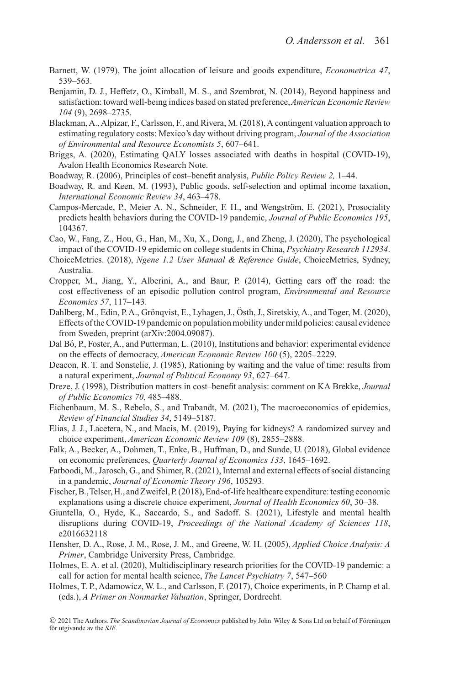- Barnett, W. (1979), The joint allocation of leisure and goods expenditure, *Econometrica 47*, 539–563.
- Benjamin, D. J., Heffetz, O., Kimball, M. S., and Szembrot, N. (2014), Beyond happiness and satisfaction: toward well-being indices based on stated preference,*American Economic Review 104* (9), 2698–2735.
- Blackman, A., Alpizar, F., Carlsson, F., and Rivera, M. (2018), A contingent valuation approach to estimating regulatory costs: Mexico's day without driving program, *Journal of the Association of Environmental and Resource Economists 5*, 607–641.
- Briggs, A. (2020), Estimating QALY losses associated with deaths in hospital (COVID-19), Avalon Health Economics Research Note.
- Boadway, R. (2006), Principles of cost–benefit analysis, *Public Policy Review 2,* 1–44.
- Boadway, R. and Keen, M. (1993), Public goods, self-selection and optimal income taxation, *International Economic Review 34*, 463–478.
- Campos-Mercade, P., Meier A. N., Schneider, F. H., and Wengström, E. (2021), Prosociality predicts health behaviors during the COVID-19 pandemic, *Journal of Public Economics 195*, 104367.
- Cao, W., Fang, Z., Hou, G., Han, M., Xu, X., Dong, J., and Zheng, J. (2020), The psychological impact of the COVID-19 epidemic on college students in China, *Psychiatry Research 112934*.
- ChoiceMetrics. (2018), *Ngene 1.2 User Manual & Reference Guide*, ChoiceMetrics, Sydney, Australia.
- Cropper, M., Jiang, Y., Alberini, A., and Baur, P. (2014), Getting cars off the road: the cost effectiveness of an episodic pollution control program, *Environmental and Resource Economics 57*, 117–143.
- Dahlberg, M., Edin, P. A., Gröngvist, E., Lyhagen, J., Östh, J., Siretskiy, A., and Toger, M. (2020), Effects of the COVID-19 pandemic on population mobility under mild policies: causal evidence from Sweden, preprint (arXiv:2004.09087).
- Dal Bó, P., Foster, A., and Putterman, L. (2010), Institutions and behavior: experimental evidence on the effects of democracy, *American Economic Review 100* (5), 2205–2229.
- Deacon, R. T. and Sonstelie, J. (1985), Rationing by waiting and the value of time: results from a natural experiment, *Journal of Political Economy 93*, 627–647.
- Dreze, J. (1998), Distribution matters in cost–benefit analysis: comment on KA Brekke, *Journal of Public Economics 70*, 485–488.
- Eichenbaum, M. S., Rebelo, S., and Trabandt, M. (2021), The macroeconomics of epidemics, *Review of Financial Studies 34*, 5149–5187.
- Elías, J. J., Lacetera, N., and Macis, M. (2019), Paying for kidneys? A randomized survey and choice experiment, *American Economic Review 109* (8), 2855–2888.
- Falk, A., Becker, A., Dohmen, T., Enke, B., Huffman, D., and Sunde, U. (2018), Global evidence on economic preferences, *Quarterly Journal of Economics 133*, 1645–1692.
- Farboodi, M., Jarosch, G., and Shimer, R. (2021), Internal and external effects of social distancing in a pandemic, *Journal of Economic Theory 196*, 105293.
- Fischer, B.,Telser, H., and Zweifel, P. (2018), End-of-life healthcare expenditure: testing economic explanations using a discrete choice experiment, *Journal of Health Economics 60*, 30–38.
- Giuntella, O., Hyde, K., Saccardo, S., and Sadoff. S. (2021), Lifestyle and mental health disruptions during COVID-19, *Proceedings of the National Academy of Sciences 118*, e2016632118
- Hensher, D. A., Rose, J. M., Rose, J. M., and Greene, W. H. (2005), *Applied Choice Analysis: A Primer*, Cambridge University Press, Cambridge.
- Holmes, E. A. et al. (2020), Multidisciplinary research priorities for the COVID-19 pandemic: a call for action for mental health science, *The Lancet Psychiatry 7*, 547–560
- Holmes, T. P., Adamowicz, W. L., and Carlsson, F. (2017), Choice experiments, in P. Champ et al. (eds.), *A Primer on Nonmarket Valuation*, Springer, Dordrecht.

© 2021 The Authors. *The Scandinavian Journal of Economics* published by John Wiley & Sons Ltd on behalf of Föreningen för utgivande av the SJE.